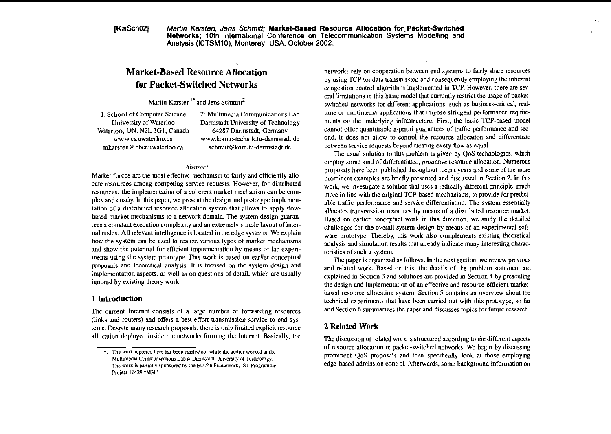IKaSch021 Martin Karsten. Jens Schmitt: Market-Based Resource Allocation for Packet-Switched Networks; 10th International Conference on Telecommunication Systems Modelling and Analysis (ICTSMIO). Monterey, USA. October 2002.

# **Market-Based Resource Allocation for Packet-Switched Networks**

Martin Karsten<sup> $1*$ </sup> and Jens Schmitt<sup>2</sup>

Waterloo, ON, N2L 3G1, Canada

1: School of Computer Science 2: Multimedia Communications Lab<br>University of Waterloo Darmstadt University of Technology Darmstadt University of Technology<br>64287 Darmstadt, Germany www.cs.uwaterloo.ca **www.kom.e-technik.tu-darmstadt.de mkarsten@bbcr.uwaterloo.ca schmitt@kom.ru-darmstadt.de** 

-

#### **Abstract**

Marker forces are the most effective mechanism to fairly and efficiently allocate resources among competing service requests. However, for distributed resources, the implementation of a coherent inarket mechanism can be complex and costly. In this paper, we present the design and prototype implementation of a distributed resource allocation system that allows to apply flowbased market mechanisms to a network domain. The system design guarantees a constant execution complexity and an extremeiy simple layout of internal nodes. All relevant intelligence is located in the edge systems. We explain how the system can be used to realize various types of market mechanisms and show the potential for efficient implementation by means of lab experiments using the system prototype. This work is based on earlier conceptual proposals and theoretical analysis. It is fccused on the system design and implementation aspects, as well as on questions of detail, which are usually ignored by existing theory work.

# 1 Introduction

The current lntemet consists of a large number of fonvarding resources (links and routers) and offers a best-effon transmission service to end systems. Despite many research proposals, there is only limited explicit resource allocation deployed inside the networks forming the Intemet. Basically. the networks rely on cooperation between end systems to fairly share resources by using TCP for data transmission and consequently employing the inherent congestion control aigorithms implemented in TCP. However, there are several limitations in this basic model that currently restrict the usage of packetswitched networks for different applications, such as business-critical, realtime or multimedia applications that impose stringent periormance requirements on the underlying infrastructure. First, the basic TCP-based model cannot offer quantifiable a-priori guarantees of traffic performance and second, it does not allow to control the resource ailocation and differentiale between service requests beyond treating every flow as equal.

. .

The usual solution to this problem is given by QoS technologies, which employ some kind of differentiated, *proactive* resource allocation. Numerous proposals have been published throughout recent yearr and some of the more prominent examples are briefly presented and discussed in Section 2. In this work, we investigate a solution that uses a radically different principle, much more in line with the original TCP-based mechanisms, to provide for predictable traffic periormance and service differentiation. The system essentially allocates transmission resources by means of a distributed resource market. Based on earlier conceptual work in this direction, we study the detailed challenges for the overall system design by means of an experimenral software prototype. Thereby, this work also complements existing theoretical analysis and simulation results that already indicate many interesting characteristics of such a system.

The paper is organized as follows. In the next section, we review previous and related work. Based on this. the details of the problem statement are explained in Section 3 and solutions are provided in Section 4 by presenting the design and implementation of an effective and resource-efficient marketbased resource ailocation system. Section 5 contains an overview aboul the technical experimenis that have been carried out with this prototype, so **far**  and Section 6 summarizes the paper and discusses topics for future research.

# 2 **Related** Work

The discussion of related work is structured according to the different aspects The work reported here has been carried out while the author worked at the set of resource allocation in packet-switched networks. We begin by discussing  $\bullet$ . The work reported here has been carried out while the author w Multimedia Communications Lab at Darmstadt University of Technology. **prominent QoS** proposals and then specifieally look at those employing Multimedia Communications Lab at Darmstadt University of Technology. **The** work **is** panially **rponrored** by the EU 5th Frmework. **IST** Programme. edge-based admission control. Aftenvards, some background information On

Project 11429 **M3I**"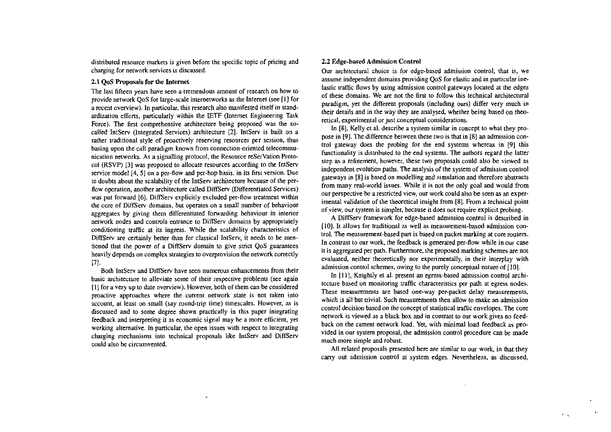distributed resource markets is given before tbe specific topic of pricing and charging for network services is discussed.

### 2.1 OoS Proposals for the Internet

The last fifteen years have seen a tremendous amount of research on how to provide network OoS for large-scale internetworks as the Internet (see [1] for a recent overview). In panicular. this research also manifested itself in standardization efforts, particularly within the IETF (Internet Engineering Task Force). The first comprehensive architecture being proposed was the socalled lntServ (Integrated Services) architecture **[Z].** IntServ is built on a rather traditional style of proactively reserving resources pcr session, thus basing upon the call paradigm known from connection-oriented telecommunication networks. As a signalling protocol, the Resource reSerVation Protocol (RSVP) **[3]** was pmposed to allocate resources according to the LntServ service model 14. **51** on a per-flow and per-hop basis, in its first version. Due to doubts about the scalability of the IntServ architecture kcause of the perflow operation, another architecture called DiffServ (Differentiated Services) was pul forward *[6].* DiffServ explicitly excluded per-flow treatment within the core of DiffServ domains, but operates on a small number of behaviour aggregates by giving them differentiated forwarding behaviour in interior network nodes and controls entrance to DiffServ domains by appropriately conditioning traffic at its ingress. While the scalability characteristics of DiffServ are certainly better than for classical IntServ, it needs to be mentioned that the power of a DiffServ domain to give strict QoS guarantees heavily depends on complex strategies to overprovision the network correctly 171.

Both IntServ and DiffServ have seen numerous enhancements from their basic architecture to alleviate some of iheir respective problems (see again  $[1]$  for a very up to date overview). However, both of them can be considered proactive approaches where the current network state is not taken into account, at least on small (say mund-trip time) timescales. However, as is discussed and to some degree shown practically in this paper integrating feedback and interpreting it as economic signal may be a more efficient, yet working alternative. In particular, the open issues with respect to integrating charging mechanisms into technical proposals like IntServ and DifiServ could also be circumvented.

### 2.2 Edge-based Admission Conlrol

Our architectural choice is for edge-based admission control, that is, we assume independent domains providing QoS for elastic and in panicular inelastic traffic flows by using admission control gateways located at the edges of these domains. We are not the first to follow this technical architectural paradigm, yet the different proposals (including ours) differ very much in their details and in the way they are analysed, whether being based on theoretical, experimental or just conceptual considerations.

In [8]. Kelly et al. describe a system similar in concept to what they propose in [9]. The difference between these two is that in 181 an admission control gateway does the probing for the end systems whereas in [9] this functionality is distributed to the end systems. The authors regard the latter step as a refinement, however, these two pmposals could also be viewed as independent evolution paths. The analysis of the system of admission control gateways in [8] is based on modelling and simulation and therefore abstracts from many real-world issues. While it is not the only goal and would from our perspective be a restricted view, our work could also be seen as an experimental validation of the theoretical insight from [8]. From a technical point of view, our system is simpler, because it does not require explicit probing.

**A** DiffServ framework for edge-based admission control is described in [10]. It allows for traditional as well as measurement-based admission control. The measurement-based pan is based on packet marking **at** core muters. In contrast to our work, the feedback is generated per-flow while in our case it is aggregated per path. Furthermore, the proposed marking schemes are not evaluated, neither thcoretically nor experimentally, in their interplay with admission control schemes, owing to the purely conceptual nature of [10].

In [11], Knightly et al. present an egress-based admission control architecture based on monitonng traffic characteristics per path at egress nodes. These measurements are based one-way per-packet delay measurements. which is all but trivial. Such measurements then allow to make an admission control decision based on the concept of statistical trafiic envelopes. The core network is viewed as a black box and in contrast to out work gives no feedback on the current network load. Yet, with minimal load feedback as provided in our system proposal, the admission control procedure can be made much more simple and robust.

All related proposals presented here are similar to our work. in that they carry out admission control at system edges. Nevertheless, as discussed,

 $\mathbf{F}=\mathbf{g}$  .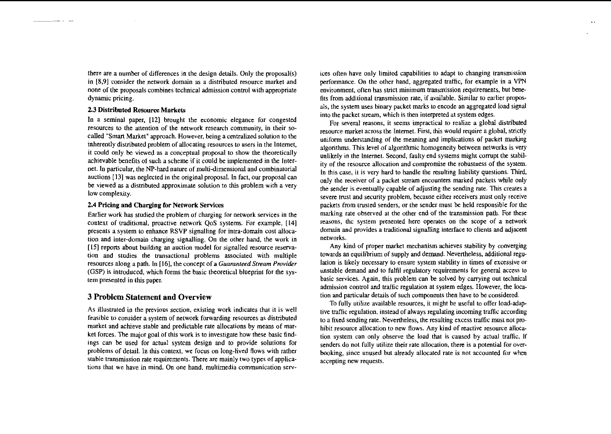there are a number of differences in the design details. Only the proposal(s) in [8,91 consider the network domain as a disttibuted resowce market and none of the proposals combines technical admission control with appropriate dynamic pricing.

# 2.3 Distributed Resource Markets

للمستحدث

In a seminal paper, [12] brought the economic elegance for congested resources to the attention of the network research community, in their socalled "Smart Market" approach. However, being a centralized solution to the inherently distributed problem of allocating resources to users in the Internet. it could only be viewed as a conceptual proposal to show the theoretically achievahle benefits of such a scheme if it could be implemented in the Internet. In particular, the NP-hard nature of multi-dimensional and comhinatorial auctions [I31 was neglected in the original proposal. In fact. ow proposal can be viewed as a distributed approximate solution to this problem with a very low complexity.

# 2.4 **Pncing** and Charging for Network Services

Earlier work has studied the prohlem of charging for network sewices in the context of traditional, proactive network QoS systems. For example, (141 presents a system to enhance RSVP signalling for intra-domain cost allocation and inter-domain charging signalling. On the other hand. the work in [15] reports about building an auction model for signalled resource reservation and studies the transactional problems associated with multiple resources along a path. In [16], the concept of a **Cuaranreed Stream Provider**  (GSP) is introduced, which forms the basic theoretical blueprint for the system presented in this paper.

# **3 Problem Statement and Overview**

As illustrated in the previous section, existing work indicates that it is well feasible to consider a system of network forwarding resources as distributed market and achieve stable and predictable rate allocations by means of market forces. The major goal of this work is to investigate how these basic findings can be used for actual systcm design and to provide solutions for problems of detail. In this context. we focus on long-hved flows with rather stable transmission rate requirements. There are mainly two types of applications that we have in mind. On one hand, multimedia comrnunication sewices often have only limited capabilities to adapt to changing transmission performance. On the other hand, aggregated traffic, for example in a VPN environment, often has strict minimum transmission requirements, but benefits from additional transmission rate, if available. Similar to earlier proposals, the system uses binary packet marks **to** encode an aggregated load signal into the packet stream, which is then intcrpreted at system edges.

For several reasons, it seems impractical to realize a global distributed resource market across the Internet. First, this would require a global, strictly uniform understanding of the meaning and implications of packet marking algorithms. This level of algorithmic homogeneiry between networks is very unlikely in the Internet. Second, faulty end systems might corrupt the stability of the resource allocation and compromise the robustness of the system. In this case, it is very hard to handle the resulting liability questions. Third, only the receiver of a packet stream encounters marked packets while only the sender is eventually capable of adjusring the sending rate. This creates a severe trust and security problem. because either receivers must only receive packets from trusted senders, or the sender must be held responsible for the marking rate obsewed at the other end of the transmission path. For these reasons, thc system presented here operates on the scope of a network domain and provides a traditional signalling interface to clients and adjacent networks.

Any kind of proper market mechanism achieves stability by converging towards an equilihrium of supply and demand. Nevenheless, additional regulation is likely necessary to ensure system stability in times of excessive or unstable demand and to fulfil regulatory requirements for general access lo hasic services. Again, this problem can be solved by carrying out technical admission control and traffic regulation at system edges. However, the location and particular details of such components then have to be considered.

To fully utilize available resources, it might be useful to offcr load-adaptive traffic regulation. instead of always regulating incoming traffic according to a fixed sending rate. Nevertheless, the resulting excess traffic must not prohibit resource allocation to new flows. Any kind of reactive resource allocation system can only observe the load that is caused by actual traffic. If senders do not fully utilize their rate allocation, there is a potential for overbooking, since unused but already allocated rate is not accounted for when accepting new requests.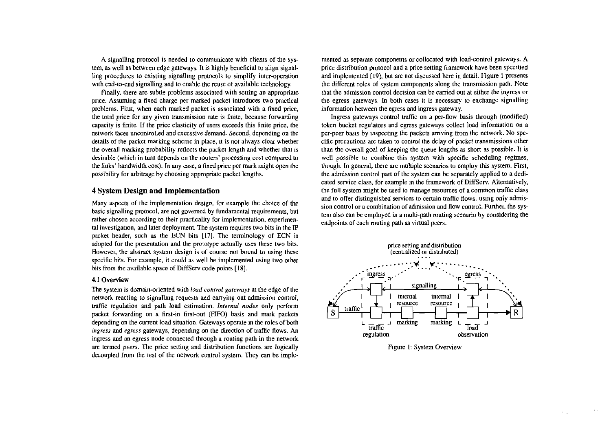**A** signalling protocol is needed to communicate with chents of the system, as well as between edge gateways. It is highly beneficial to align signalling procedures to existing signalling protocols to simplify inter-operation with end-to-end signalling and to enable the reuse of available technology.

Finally, there are subtle problems associated with setting an appropriate price. Assuming a fixed charge per marked packet inlroduces two practical problems. Fist, when each marked packet is associated with a fixed price, the total price for any given transmission rate is finite, because fonvarding capacity is finite. If the price elasticity of users exceeds this finite price, the network faces uncontrolled and excessive demand. Second, depending on the details of the packet marking scheme in place. it is not always clear whether the overall marking probability reflects the packet length and whether that is desirable (which in tum depends on the routers' processing cost compared to the links' bandwidth cost). In any case, a fixed price per mark might Open the possibility for arbitrage by choosing appropriate packet lengths.

# **4 System Design and Implementation**

Many aspects of the implementation design. for example the choice of the basic signalling protocol, are not govemed hy fundamental requirements, but rather chosen according to their practicality for implementation, experimental investigation. and later deployment. The system requires two bits in the **iP**  packet header, such as the ECN bits [17]. The terminology of ECN is adopted for the presentation and the prototype actually uses these two bits. However, the abstract system design is of course not bound to using these specific bits. For example, it could as well be implemented using two other bits from the available space of DiffServ code points [18].

# 41 Overview

The system is domain-oriented with **load control gateways** at the edge of the network reacting to signalling requests and carrying out admission control. traffic regulation and path load estimation. **Intenial nodes** only perform packet fonvarding on a first-in first-out (FiFO) hasis and mark packets depending on the current load situation. Gateways operate in the roles of both **ingress** and **egress** gateways, depending on the direction of traffic flows. An ingress and an egress node connected through a routing path in the network are termed **peers.** The price setting and distribution functions are logically decoupled from the rest of the network control system. They can be implemented as separate components or collocated with load-control gateways. A price distribution protocol and a price setting framework have been specified and implemented [19], but are not discussed here in detail. Figure 1 presents the different roles of system components along the transmission path. Note that the admission control decision can be carried out at either the ingress or the egress gateways. In both cases it is necessary to exchange signalling information between the egress and ingress gateway.

Ingress gateways control traffic on a per-flow basis through (modified) token hucket regulators and egress gateways collect load information On a per-peer basis by inspecting the packets aniving from the network. NO specific precautions are taken to control the delay of packet transmissions other than the overall goal of keeping the queue lengths as short **as** possible. It is well possible to combine this system with specific scheduling regimes, though. In general, there are multiple Scenarios to employ this system. First, the admission control part of the system can be separaiely applied to a dedicated service class. for example in the framework of DiffServ. Altematively. the full system might be used to manage resources of acommon traffic class and to offer distinguished services to certain traffic flows, using only admission control or a combination of admission and flow control. Further, the system also can be employed in a multi-path muting scenario hy considering the endpoints of each routing path as vinual peers.



#### Figure 1: System Overview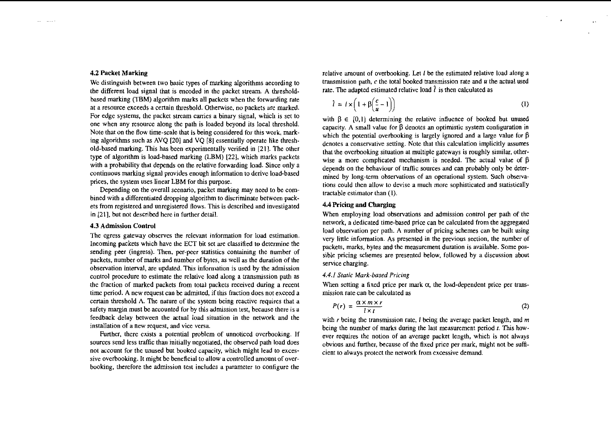and the most

We distinguish between two basic types of marking algorithms aecording to transmission path, c the total booked transmission rate and  $\mu$  the different load signal that is encoded in the packet stream. A threshold, and u the different load signal that is encoded in the packet stream. A thresholdbased marking (TBM) algorithm marks all packets when the fowarding rate at a resource exceeds a certain threshold. Otherwise, no packets are marked. For edge systems, the packet stream carries a binary signal, which is set to one when any resource along the path is loaded beyond its local threshold. Note that on the flow time-scale that is being considered for this work, marking algorithms such as AVQ [20] and VQ [8] essentially operate like threshold-based marking. This has been expenmentally verified in [21]. The other typc of algorithm is load-based marking (LBM) [221, which marks packets with a probability that depends on the relative fowarding load. Since only a continuous marking signal provides enough information to derive load-based prices. the system uses linear LBM for this purpose.

Depending on the overall scenario. packet marking may need to be combined with a differentiated dropping algorithm to discriminäe between packets from registered and unregistered flows. This is described and investigated in [21], but not described here in further detail.

meding packets which have the EC1 of set are classified to determine the<br>sending peer (ingress). Then, per-peer statistics containing the number of<br>packets, marks, bytes and the measurement duration is available. Some poscontrol procedure to estimate the relative load along a transmission path as the fraction of marked packets from total packets received during a recent time period. A new request can be admitted, if this fraction does not exceed a certain threshold **A.** The nature of the system being reactive requires that a safety margin must be accounted for by this admission test, because there is a feedback delay between the actual load situation in the network and the installation of a new request, and vice versa.

Further, there exists a potential problem of unnoticed overbooking. If sources send less traffic than initially negotiated, the observed path load does not account for the unused but booked capacity, which might lead to excessive overbooking. It might be beneficial to allow a controlled amount of overbooking, therefore the admission test includes a parameter to configure the

**4.2 Packet Marking**<br>We distinguish between two basic types of marking algorithms aecording to **transmission path, c** the total booked transmission rate and u the actual used

$$
\hat{l} = l \times \left(1 + \beta \left(\frac{c}{u} - 1\right)\right) \tag{1}
$$

with  $\beta \in [0,1]$  determining the relative influence of booked but unused capacity. A small value for  $\beta$  denotes an optimistic system configuration in which the potential overbooking is largely ignored and a large value for  $\beta$ denotes a conservative setting. Note that this calculation implicitly assumes that the overbooking situation at multiple gateways is roughly similar. otherwise a more complicated mechanism is needed. The actual value of  $\beta$ depends on the behaviour of trafiic sources and can probably only be determined by long-term observations of an operational system. Such observations could then allow to devise a much more sophisticated and statistically tractable estimator than (I).

# **4.4Pricing and Charging**

When employing load observations and admission control per path of the network, a dedicated time-based price can be calculated from the aggregated **4.3 Admission Control**<br>The egress gateway observes the relevant information for load estimation.<br>Ineoming packets which have the ECT bit set are classified to determine the<br>Intervalse and the previous section, the number y little information. As present<br>we little information. As presenteds, marks, bytes and the metaple<br>e pricing scliemes are presentice charging.<br>*I Static Mark-based Pricing*<br>en setting a fixed price per m<br>sion rate can be

#### 4.4.1 Staric Mark-based Pricing

When setting a fixed price per mark  $\alpha$ , the load-dependent price per transmission rate can be calculated as

$$
P(r) = \frac{\alpha \times m \times r}{l \times t} \tag{2}
$$

with *r* being the transmission rate, *I* being the average packet length, and *m* being the number of marks during the last measurement period  $t$ . This however requires the notion of an average packet length, whch is not always obvious and further, because of the fixed price per mark, might not be sufficient to always protect the network from excessive demand.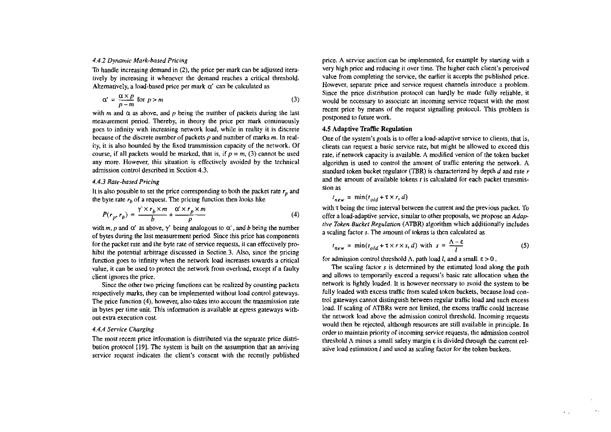#### 4.4.2 Dynamic Mark-based Pricing

To handle increasing demand in **(2),** the price per mark can be adjusted iteratively by increasing it whenever the demand reaches a critical threshold. Alternatively, a load-based price per mark  $\alpha'$  can be calculated as

$$
\alpha' = \frac{\alpha \times p}{p - m} \text{ for } p > m
$$
 (3)

with *m* and  $\alpha$  as above, and *p* being the number of packets during the last measurement period. Thereby, in theory the price **per** mark continuously goes to infinity with increasing network load, while in reality it is discrete because of the discrete number of packets  $p$  and number of marks  $m$ . In reality, it is also bounded by the fixed transmission capacity of the network. Of course, if all packets would be marked, that is, if  $p = m$ , (3) cannot be used any more. However, this situation is effectively avoided by the technical admission control described in Section 4.3.

# 4.4.3 Raie-based Pricing

It is also possible to set the price corresponding to both the packet rate  $r_n$  and the byte rate  $r<sub>b</sub>$  of a request. The pricing function then looks like

$$
P(r_p, r_b) = \frac{\gamma' \times r_b \times m}{b} + \frac{\alpha' \times r_p \times m}{p}
$$
 (4)

with *m*, *p* and  $\alpha'$  as above,  $\gamma'$  being analogous to  $\alpha'$ , and *b* being the number of bytes during the last measurement period. Since this price has components for the packet rate and the byte rate of service requests, it can effectively prohibit the potential arbitrage discussed in Section3. Also. since the pricing funcüon goes to infinity wben the network load increases towards a critical value, it can **be** used to protect the network from overload, except if a faulty client ignores the price.

Since the other two pricing functions can be realized by counting packets respectively marks, they can be implemented without load control gateways. The price function (4), however, also takes into account the transmission rate in bytes per time unit. This information is available at egress gateways without extra execution cost.

#### 4.4.4 Service Charging

The most recent price information is distributed via the separate price distribution protocol (191. The system is built on the assumption that an arriving service request indicates the client's consent with the recently published price. A service auction can be implemented, for example by starting with a very high price and reducing it over time. The higher each client's perceived value from complcting the service, the earlier it accepts the published price. However, separate price and service request channels introduce a problem. Since the price distribution protocol can hardly be made fully reliable, it would **be** necessary to associate an incoming service request with the most recent price by means of the request signalling protocol. This problem is postponed to future work.

### 4.5 Adaptive **Traffic** Regulation

One of the system's goals is to offer a load-adaptive service to clients, that is, clients can request a basic service rate, but might be allowed to exceed this rate. if network capacity is available. A modified version of the token bucket algorithm is used to control the amount of traffic entering the network. A standard token bucket regulator (TBR) is characterized by depth  $d$  and rate  $r$ and the amount of available tokens **r** is calculated for each packet transmission as

$$
t_{new} = \min(t_{old} + \tau \times r, d)
$$

with  $\tau$  being the time interval between the current and the previous packet. To offer a load-adaptive service, similar to other proposals. we propose an Adap live Token Buckel Regulation (ATBR) algorithm which additionally includes a scaling factor **s.** The amount of tokens is then calculated as **r** *r* designate the metron detects the current and the previous packet. To <br> *r* a load-adaptive service, similar to other proposals, we propose an *Adap-*<br> *Token Bucket Regulation* (ATBR) algorithm which additionall

$$
t_{new} = \min(t_{old} + \tau \times r \times s, d) \text{ with } s = \frac{\Lambda - \varepsilon}{l}
$$
 (5)

for admission control threshold  $\Lambda$ , path load *I*, and a small  $\epsilon > 0$ .

The scaling factor  $s$  is determined by the estimated load along the path and allows to temporatily exceed a request's basic rate allocation when the network is lightly loaded. It is however necessary to avoid the system to be fully loaded with excess traffic from scaled token buckets, because load control gateways cannot distinguish between regular traffic load and such excess load. If scaling of ATBRs were not limited, the excess traffic could increase the network load above the admission control threshold. Incoming requests would then **be** rejected, although resources are still available in principle. In order to maintain priority of incoming service requests, the admission control threshold **A** minus a small safety margin **E** is divided through the current relative load estimation 1 and **used** as scaling factor for the token buckets.

 $\mathbf{r}$  ,  $\mathbf{r}$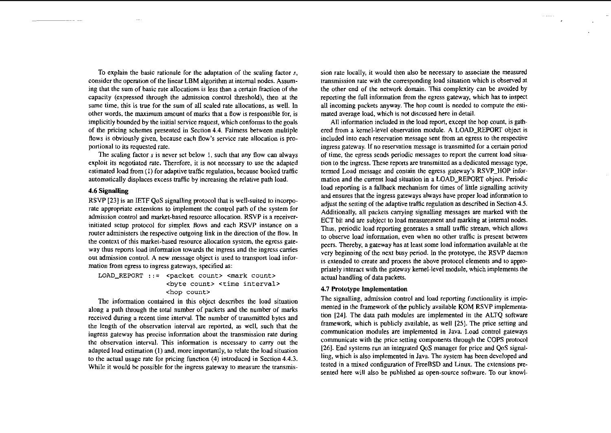To explain the basic rationale for the adaptation of the scaling factor **s,**  consider the operation of the linear LBM algorithm at internal nodes. Assuming that the sum of basic rate allocations is less tban a certain fraction of the capacity (expressed through the admission control threshold), then at the same time, this is true for the sum of ail scaled rate allocations, as well. In other words. the maximum amount of marks that a flow is responsible for, is implicitly bounded by the initial service request, which conforms to the goals of the pricing schemes presented in Section 4.4. Faimess between multiple flows is obviously given, because each flow's service rate allocation is proportional to its requested rate.

The scaling factor **s** is never set below I, such thai any flow can always exploit its negotiated rate. Therefore, it is not necessary to use the adapted estimated load from (I) for adaptive traffic regulation, because booked traffic automatically displaces excess traffic by increasing the relative path load.

# 4.6 **Signaiiing**

RSVP [23] is an IETF QoS signalling protocol that is well-suited to incorporate appropriate extensions to implement the control path of the system for admission control and market-based resource allocation. RSVP is a receiverinitiated setup protocol for simplex flows and each RSVP instance on a router administers the respective ourgoing link in the direction of the flow. In the context of this market-based resource allocation system, the egress gateway thus reports load infomation towards the ingress and the ingress carries out admission control. A new message object is used to transport load information from egress to ingress gateways, specified as:

**LOAD-REPORT** ::= **<packet Count> <mark Count> <byte Count> <time interval> <hop Count>** 

The infomation contained in this object describes the load situation along a path through the total number of packets and the number of marks received during **a** recent time intervai. The number of transmitted bytes and the length of the observation interval are reported, as well, such that the ingress gateway has precise information about the transmission rate during the observation interval. This infomation is necessary to cany out the adapted load estimation (1) and, more importantly, 10 relate the load situation to the actual usage rate for pricing function (4) introduced in Section 4.4.3. While it would be possible for the ingress gateway to measure the transmission rate locally, it would then also be necessary to associate the measured transmission rate with the correspnding load situation which is observed at the other end of the network domain. This complexity can be avoided by reporting the full information from the egress gateway, which has to inspect all incoming packets anyway. The hop count is needed to compute the estimated average load, which is not discussed here in detail.

All information included in the load report, except the hop count, is gathered from a kernel-level observation module. A LOAD\_REPORT object is included into each reservation message sent from an egress to the respective ingress gateway. If no reservation message is transmitted for a certain period of time, the egress sends periodic messages to report the current load situation to the ingress. These reports are transmitted as a dedicated message type. temed Load message and contain the egress galeway's RSVP-HOP information and the current load situation in a LOAD\_REPORT object. Periodic load reporting is a fallback mechanism for times of little signalling activity and ensures that the ingress gateways always have proper load information to adjust the setting of the adaptive traffic regulation as described in Section 4.5. Additionally, all packets canying signalling messages **are** marked with the ECT bit and are subject to load measurement and marking at internal nodes. Thus, periodic load reporting generates a small traffic stream, which allows to observe load information, even when no other traffic is present between peers. Thereby. a gateway has at least some load infomtion available at the very beginning of the next busy period. In the prototype, the RSVP daemon is extended to create and process the above protocol elements and to appropriately interact with the gateway kemel-level module, which implements the actual handling of data packets.

#### 4.7 Prototype Implementation

The signalling, admission control and load reporting functionality is implemented in the framework of the publicly available KOM RSVP implementation [24]. The data path modules are implemented in the ALTQ software framework, which is publicly available. as well 1251. The price serting and communication modules are implemented in Java. Load control gateways communicate with the price setting components through the COPS protocol 1261. End Systems run an integrated QoS manager for price and QoS signalling, which is also implemented in Java. The system has been developed and tested in a mixed configuration of FreeBSD and Linux. The extensions presented here will also be published **as** open-source software. To our knowl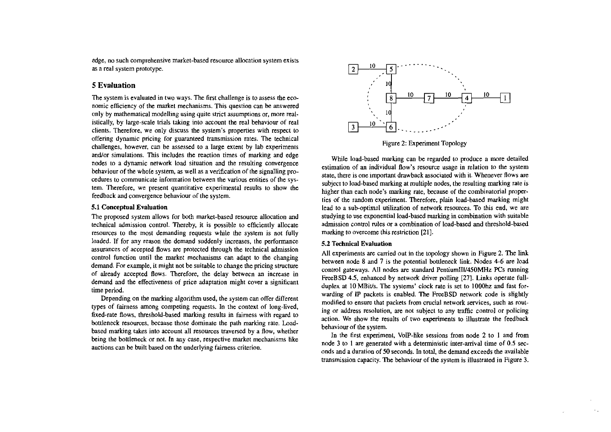edge, no such comprehensive rnarket-based resource ailocation system exists as a real system prototype.

# **5 Evaluation**

The system is evaluated in two ways. The first challenge is to assess the economic efficiency of the market mechanisms. This question can be answered only by mathematical modelling using quite strict assumptions or, more realistically, by large-scale trials taking into account the real behaviour of real clients. Therefore. we only discuss the syslem's properties with respect to offering dynamic pricing for guaranteed transmission rates. The technical challenges, however, can be assessed to a Iarge extent by lab experiments and/or simulations. This includes the reaction times of marking and edge nodes to a dynamic network load situation and the resulting convergence behaviour of the whole system, as well as a verification of the signalling procedures to communicate infonnation between the vanous entities of the system. Therefore, we present quantitative experimental results to show the feedback and convergence behaviour of the system.

#### 5.1 Concephial Evaluation

The proposed system allows for both market-based resource ailocation and technical admission control. Thereby, it is possible to efficiently allocate resources to the most demanding requests while the system is not fully loaded. If for any reason the demand suddenly increases, the perfonnance assurances of accepted flows are protected through the technical admission control function until the market mechanisms can adapt to the changing demand. For example. it might not be suitable to change the pricing stmcture of already accepted flows. Therefore, the delay betwecn an increase in demand and the effectiveness of price adaptation might Cover a significant time period.

Depending on the marking aigorithm used, the system can offer different types of faimess among competing requests. In the context of long-iived, fixed-rate flows. threshold-based marking results in faimess with regard to bottleneck resources, because those dominate the path marking rate. Loadbased marking takes into account all resources traversed by a flow, whether being the bottleneck or not. In any case, respective market mechanisms like auctions can be built based on the underlying faimess criterion.



While load-based marking can be regarded to produce a more detailed estimation of an individual flow's resource usage in relation to the system state, there is one important drawback associated with it. Whenever flows are subject to load-based marking at multiple nodes, the resulting marking rate is higher than each node's marking rate, because of the combinatoriai propcrties of the random experiment. Therefore, plain load-based marking might lead to a sub-optimal utilization of network resources. To this end, we are studying to use exponential load-based marking in combination with suitable admission control rules or a combination of load-based and threshold-based marking to overcome this restriction **[21].** 

#### 5.2 Technieal Evaluation

All experiments are camed out in the topology shown in Figure **2.** The *link*  between node 8 and 7 is the potential bottleneck link. Nodes 4-6 are load control gateways. All nodes are standard PentiumIII/450MHz PCs running FreeBSD 4.5, enhanced by network driver polling [27]. Links operate fullduplex at 10 MBit/s. The systems' clock rate is set to 1000hz and fast forwarding of IP packets is enabled. The FreeBSD network code is slightly modified to ensure that packets from cmcial network services, such as routing or address resolution, are not subject to any traffic control or policing action. We show the results of two expaiments **to** illustrate the feedback behaviour of the system.

In the first experiment, VoIP-like sessions from node  $2$  to 1 and from node 3 to 1 **are** generated with a deterministic inter-amivai time of 0.5 seconds and a duration 01 50 seconds. In total. the demand exceeds the available transmission capacity. The behaviour of the system is illustrated in Figure 3.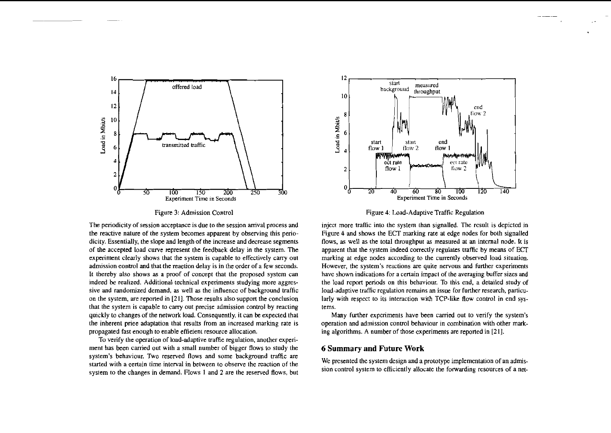

Figure 3: Admission Control

The periodicity of session acceptance is due to the session arrival process and the reactive nature of the system becomes apparent by observing this periodicity. Essentially, the slope and length of the increase and decrease segments of the accepted load curve represent the feedbaek delay in the system. The experiment clearly shows that the system is capable to effectively cany out admission eontrol and that the reaetion delay is in the order of a few seconds. It thereby also shows as a proof of concept that the proposed system **can**  indeed **be** realized. Additional technical experiments studying more aggressive and randomized demand. as well **as** the influence of background trafhc on the system. are reported in **[21].** Those results also support the conclusion that the system is capable to cany out precise admission control by reacting quickly to changes of the network load. Consequently, it can **k** expected that the inherent priee adaptation that results from an increased marking rate is propagated fast enough to enable effieient resource allocation.

To verify the operation of load-adaptive traffic regulation, another experiment has been carried out with a small number of bigger flows to study the system's behaviour. Two reserved flows and some background traffic are started with a eertain time interval in between to observe the reaction of the system to the changes in demand. Flows 1 and **2** are the reserved flows, but



Figure 4: Load-Adaptive Traffic Regulation

inject more traffic into the system than signalled. The result is depicted in Figure 4 and shows the ECT marking rate at edge nodes for both signalled flows, as well as the total throughput **as** measured **at** an intemal node. It is apparent that the system indeed correctly regulates traffic by means of ECT marking at edge nodes according to the currently observed load situation. However, the system's reactions **are** quite nervous and further experiments have shown indications for a certain impact of the averaging buffer sizes and the load report periods on this behaviour. To this end, a detailed study of load-adaptive traffic regulation remains an issue for further research, particularly with respect to its interaction with TCP-like flow control in end systems.

Many further experiments have been carried out to verify the system's operation and admission control behaviour in combination with other marking algorithms. A number of those experiments are reported in [21].

# **6 Summary and Future Work**

We presented the system design and a prototype implementation of an admission control system to efficiently allocate the fonvarding resources of a net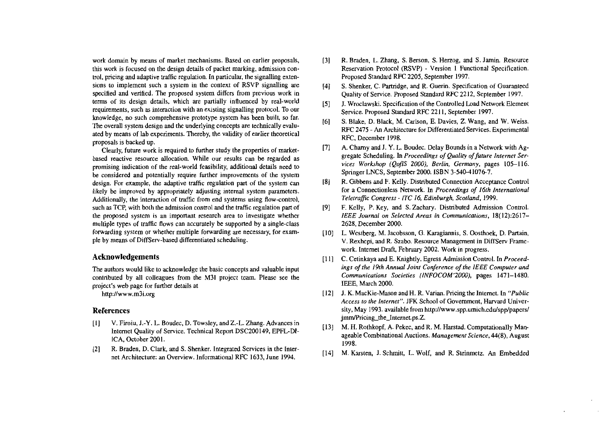work domain by means of market mechanisms. Based on earlier proposals, this work is focused on the design details of packet marking, admission control, pricing and adaptive traffic regulation. In particular, the signalling extensions to implement such a system in the context of RSVP signalling are specified and verified. The proposed system differs from previous work in tem of its design details. which **are** partially influenced by real-world requirements, such as interaction with an existing signalling protocol. To our knowledge, no such comprehensive prototype system has been built, so far. 7he overall system design and the underlying concepts are technically evaluated hy means of lah experiments. 7herehy. the validity of earlier theorelical proposals is backed up.

Clearly, future work is required to funher study the properties of marketbased reactive resource allocation. While our results can be regarded as promising indication of the real-world feasibility, additional details need to be considered and potentially require further improvements of the sysiem design. For example, the adaptive iraffic regulation part of the system can likely be improved by appropriately adjusting internal system parameters. Additionally, the interaction of traffic from end systems using flow-control, such as TCP, with both the admission control and the traffic regulation part of ihe proposed system is an important research area to investigate whether multiple types of traffic flows can accurately be supported by a single-class fomarding system or whether multiple forwarding are necessary, for example hy means of DifFServ-hased differentiated scheduling.

# **Acknowledgements**

The authors would like to acknowledge the hasic concepts and valuahle input contrihuted hy all colleagues from the M31 project team. Please see the project's weh page Fot further details at

http://www.m3i.org

# **References**

- [I] V. Firoiu, J.-Y. L. Boudec, D. Towsley. and Z:L. Zhang. Advances in lnternet Quality of Service. Technical Report DSC200149, EPFL-DI-ICA, October 2001.
- (21 R. Braden, D. Clark. and S. Shenker. lntegrated Semices in the Internet Architecture: an Overview. lnformational RFC 1633. June 1994.
- $[3]$ R. Braden. L. Zhang. S. Berson, S. Herzog, and S. Jamin. Resource Reservation Protocol (RSVP) - Version I Functional Specification. Proposed Standard RFC 2205, September 1997.
- S. Shenker, C. Partridge, and R. Guerin. Specification of Guaranteed  $[4]$ Quality oFService. Proposed Standard **RFC** 2212, September 1997.
- **F51** J. Wroclawski. Specification of the Controlled Load Network Element Service. Proposed Standard RFC 221 1, September 1997.
- S. Blake. D. ßlack, M. Carlson. E. Davies. Z. Wang, and W. Weiss. 161 RFC 2475 - An Architecture for Differentiated Services. Experimental RFC. Decemher 1998.
- A. Chamy and J. Y. L. Boudec. Delay Bounds in a Network with Ag- $\lceil 7 \rceil$ eregate Scheduling. In *Proceedings of Quality of future Internet Ser*vices Workshop (OoflS 2000). Berlin, Germany, pages 105-116. Springer LNCS, September 2000. ISBN 3.540-410767.
- R. Gibbens and F. Kelly. Distributed Connection Acceptance Control  $[8]$ for a Connectionless Network. in **Proceedings of 16th Internalional Teletrafic Congress** - **ITC 16, Edinburgh, Scotiand,** 1999.
- F. Kelly, P. Key, and S. Zachary. Distributed Admission Control. [9] **IEEE Journal on Selecred Areas in Communications,** 18(12):2617- 2628. December 2000.
- L. Westberg, M. lacobsson. G. Karagiannis, S. Oosthoek. D. Partain, V. Rexhepi, and R. Szabo. Resource Management in DiffServ Framework. Internet Draft, February 2002. Work in progress.
- [11] C. Cetinkaya and E. Knightly. Egress Admission Control. In *Proceed***ings of the 19ih Annual Joint Conference of the IEEE Compuler und**  Communications Societies (INFOCOM'2000), pages 1471-1480. IEEE, March 2000.
- J. K. MacKie-Mason and H. R. Varian. Pricing the Intemet. In **"Public Access 10 the Inrernet".** IFK School oFGovemment, Harvard University, May 1993. available from http://www.spp.umich.edu/spp/papers/ jmm/Pricing\_the\_Internet.ps.Z.
- [13] M. H. Rothkopf, A. Pekec, and R. M. Harstad. Computationally Manageable Combinational Auctions. *Management Science*, 44(8), August 1998.
- [14] M. Karsten, J. Schmitt. L. Wolf. and R. Steinmetz. An Embedded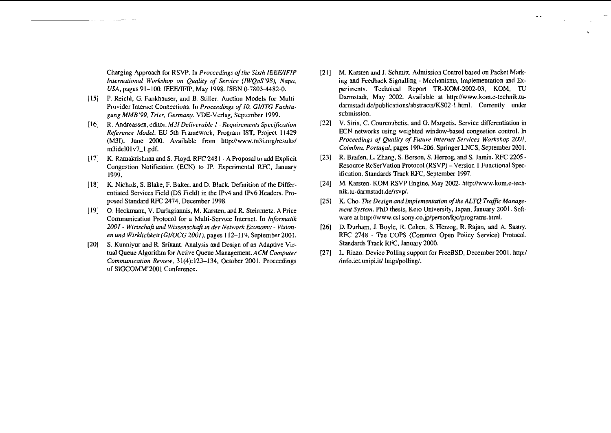Charging Approach for RSVP. In *Proceedings of the Sixth IEEE/IFIP* **International Workshop on Qualify of Service (IWQoS'98). Napa. USA,** pages 91-100. EEWIFIP, May 1998. ISBN 0-7803-4482-0.

- 1151 P. Reich), G. Fankhauser, and B. Stiller. Auction Models for Multi-Provider Internet Connections. In *Proceedings of 10. GI/ITG Fachta***gung MMB'99, Trier, Germany.** VDE-Verlag, September 1999.
- [I61 R. Andreassen, editor. **MjIDeliverable** *I*  **Requirements Specificotion**  Reference Model. EU 5th Framework, Program IST, Project 11429 (M3I), June 2000. Available from http://www.m3i.org/results/ m3idelOlv7-l.pdf.
- I171 K. Ramalrrishnan and S. Floyd. RFC 2481 A Proposal to add Explicit Congestion Notification (ECN) to P. Experimental RFC, January 1999.
- [18] K. Nichols, S. Blake, F. Baker, and D. Black. Definition of the Differentiated Services Field (DS Field) in the IPv4 and IPv6 Headers. Proposed Standard **RFC** 2474, December 1998.
- 1191 0. Heckmann, V. Darlagiannis, M. Karsten, and R. Steinmetz. A Pnce Communication Protocol for a Multi-Service Internet. In **Informatik 2001** - **Winschoji und Wissenschaji in der Nemork Economy** - **Visionen und Wirklichkeir(GI/OCG 2001).** pages 112-1 19, September 2001.
- [20] S. Kunniyur and R. Srikant. Analysis and Design of an Adaptive Virtual Queue Algorithm for Active Queue Management. **ACM Computer Communicotion Review,** 31(4):123-134. October 2001. Proceedings of SIGCOMM'2001 Conference.
- [21] M. Karsten and J. Schmitt. Admission Control based on Packet Marking and Feedback Signalling - Mcchanisms, Implementation and Experiments. Technical Report TR-KOM-2002-03. KOM, TU Darmstadt, May 2002. Available at http://www.kom.e-technik.tu**dannstadi.de/publications/abstracts/KSO2-I.htrnl.** Currently under submission.
- 1221 V. Siris, C. Courcoubetis. and G. Margetis. Service differentiation in ECN networks using weighted window-based congestion control. In Proceedings of Quality of Future Internet Services Workshop 2001, Coimbra, Portugal, pages 190–206. Springer LNCS, September 2001.
- [23] R. Braden, L. Zhang, S. Berson, S. Herzog, and S. Jamin. RFC 2205 -Resource RcSerVation Protocol (RSVP) - Version 1 Functional Specification. Standards Track **RFC,** September 1997.
- [24] M. Karsten. KOM RSVP Engine. May 2002. http://www.kom.e-technik.tu-darmstadt.de/rsvp/.
- [25] K. Cho. *The Design and Implementation of the ALTQ Traffic Managerment System.* PhD thesis, Keio University, Japan, January 2001. Software at http://www.csl.sony.co.jp/person/kjc/programs.html.
- 1261 D. Durham. J. Boyle, R. Cohen, S. Herzog, R. Rajan, and A. Sastry. RFC 2748 - The COPS (Common Open Policy Service) Protocol. Standards Track RFC. January 2000.
- (271 L. Rizzo. Device Polling support for FreeBSD, December2001. http:/ /info.iet.unipi.it/ luigi/polling/.